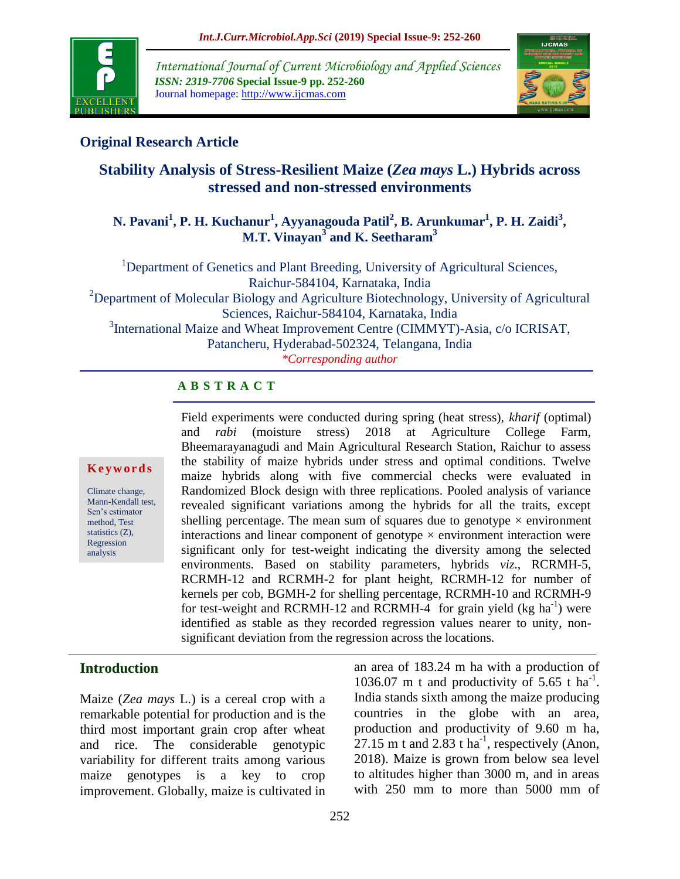

*International Journal of Current Microbiology and Applied Sciences ISSN: 2319-7706* **Special Issue-9 pp. 252-260** Journal homepage: http://www.ijcmas.com



# **Original Research Article**

# **Stability Analysis of Stress-Resilient Maize (***Zea mays* **L.) Hybrids across stressed and non-stressed environments**

### **N. Pavani<sup>1</sup> , P. H. Kuchanur<sup>1</sup> , Ayyanagouda Patil<sup>2</sup> , B. Arunkumar<sup>1</sup> , P. H. Zaidi<sup>3</sup> , M.T. Vinayan<sup>3</sup> and K. Seetharam<sup>3</sup>**

<sup>1</sup>Department of Genetics and Plant Breeding, University of Agricultural Sciences, Raichur-584104, Karnataka, India <sup>2</sup>Department of Molecular Biology and Agriculture Biotechnology, University of Agricultural Sciences, Raichur-584104, Karnataka, India <sup>3</sup>International Maize and Wheat Improvement Centre (CIMMYT)-Asia, c/o ICRISAT, Patancheru, Hyderabad-502324, Telangana, India

*\*Corresponding author*

# **A B S T R A C T**

#### **K e y w o r d s**

Climate change, Mann-Kendall test, Sen's estimator method, Test statistics (Z), Regression analysis

Field experiments were conducted during spring (heat stress), *kharif* (optimal) and *rabi* (moisture stress) 2018 at Agriculture College Farm, Bheemarayanagudi and Main Agricultural Research Station, Raichur to assess the stability of maize hybrids under stress and optimal conditions. Twelve maize hybrids along with five commercial checks were evaluated in Randomized Block design with three replications. Pooled analysis of variance revealed significant variations among the hybrids for all the traits, except shelling percentage. The mean sum of squares due to genotype  $\times$  environment interactions and linear component of genotype  $\times$  environment interaction were significant only for test-weight indicating the diversity among the selected environments. Based on stability parameters, hybrids *viz*., RCRMH-5, RCRMH-12 and RCRMH-2 for plant height, RCRMH-12 for number of kernels per cob, BGMH-2 for shelling percentage, RCRMH-10 and RCRMH-9 for test-weight and RCRMH-12 and RCRMH-4 for grain yield (kg ha<sup>-1</sup>) were identified as stable as they recorded regression values nearer to unity, nonsignificant deviation from the regression across the locations.

# **Introduction**

Maize (*Zea mays* L.) is a cereal crop with a remarkable potential for production and is the third most important grain crop after wheat and rice. The considerable genotypic variability for different traits among various maize genotypes is a key to crop improvement. Globally, maize is cultivated in an area of 183.24 m ha with a production of 1036.07 m t and productivity of  $5.65$  t ha<sup>-1</sup>. India stands sixth among the maize producing countries in the globe with an area, production and productivity of 9.60 m ha,  $27.15$  m t and  $2.83$  t ha<sup>-1</sup>, respectively (Anon, 2018). Maize is grown from below sea level to altitudes higher than 3000 m, and in areas with 250 mm to more than 5000 mm of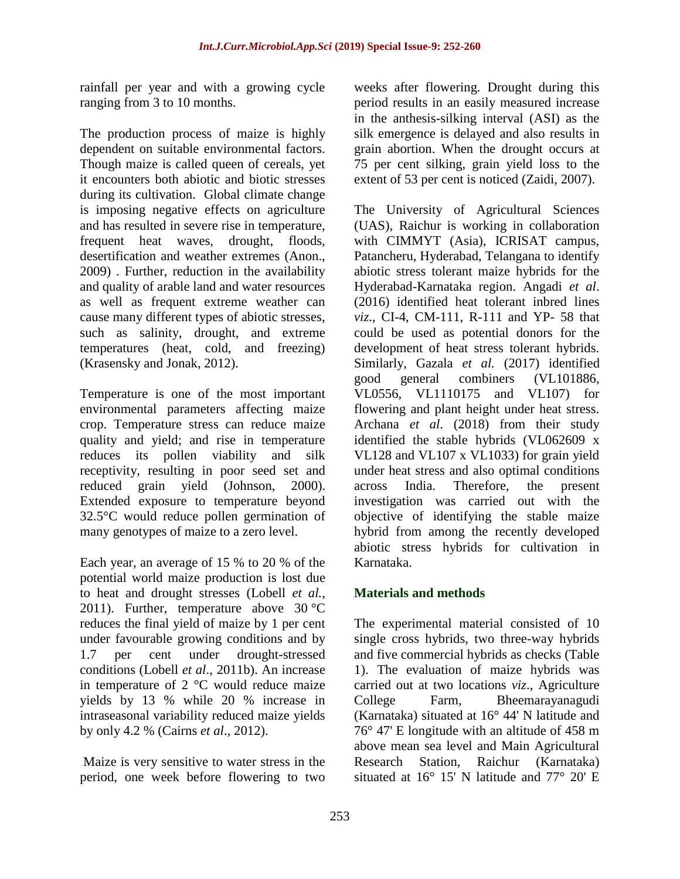rainfall per year and with a growing cycle ranging from 3 to 10 months.

The production process of maize is highly dependent on suitable environmental factors. Though maize is called queen of cereals, yet it encounters both abiotic and biotic stresses during its cultivation. Global climate change is imposing negative effects on agriculture and has resulted in severe rise in temperature, frequent heat waves, drought, floods, desertification and weather extremes (Anon., 2009) . Further, reduction in the availability and quality of arable land and water resources as well as frequent extreme weather can cause many different types of abiotic stresses, such as salinity, drought, and extreme temperatures (heat, cold, and freezing) [\(Krasensky and Jonak, 2012\)](https://www.frontiersin.org/articles/10.3389/fpls.2017.00290/full#B25).

Temperature is one of the most important environmental parameters affecting maize crop. Temperature stress can reduce maize quality and yield; and rise in temperature reduces its pollen viability and silk receptivity, resulting in poor seed set and reduced grain yield (Johnson, 2000). Extended exposure to temperature beyond 32.5°C would reduce pollen germination of many genotypes of maize to a zero level.

Each year, an average of 15 % to 20 % of the potential world maize production is lost due to heat and drought stresses (Lobell *et al.,*  2011). Further, temperature above  $30^{\circ}$ C reduces the final yield of maize by 1 per cent under favourable growing conditions and by 1.7 per cent under drought-stressed conditions (Lobell *et al*., [2011b\)](https://link.springer.com/article/10.1007/s00704-016-1931-6#CR28). An increase in temperature of 2 °C would reduce maize yields by 13 % while 20 % increase in intraseasonal variability reduced maize yields by only 4.2 % (Cairns *et al*., 2012).

Maize is very sensitive to water stress in the period, one week before flowering to two weeks after flowering. Drought during this period results in an easily measured increase in the anthesis-silking interval (ASI) as the silk emergence is delayed and also results in grain abortion. When the drought occurs at 75 per cent silking, grain yield loss to the extent of 53 per cent is noticed (Zaidi, 2007).

The University of Agricultural Sciences (UAS), Raichur is working in collaboration with CIMMYT (Asia), ICRISAT campus, Patancheru, Hyderabad, Telangana to identify abiotic stress tolerant maize hybrids for the Hyderabad-Karnataka region. Angadi *et al*. (2016) identified heat tolerant inbred lines *viz*., CI-4, CM-111, R-111 and YP- 58 that could be used as potential donors for the development of heat stress tolerant hybrids. Similarly, Gazala *et al.* (2017) identified good general combiners (VL101886, VL0556, VL1110175 and VL107) for flowering and plant height under heat stress. Archana *et al*. (2018) from their study identified the stable hybrids (VL062609 x VL128 and VL107 x VL1033) for grain yield under heat stress and also optimal conditions across India. Therefore, the present investigation was carried out with the objective of identifying the stable maize hybrid from among the recently developed abiotic stress hybrids for cultivation in Karnataka.

# **Materials and methods**

The experimental material consisted of 10 single cross hybrids, two three-way hybrids and five commercial hybrids as checks (Table 1). The evaluation of maize hybrids was carried out at two locations *viz*., Agriculture College Farm, Bheemarayanagudi (Karnataka) situated at 16° 44' N latitude and 76° 47' E longitude with an altitude of 458 m above mean sea level and Main Agricultural Research Station, Raichur (Karnataka) situated at 16° 15' N latitude and 77° 20' E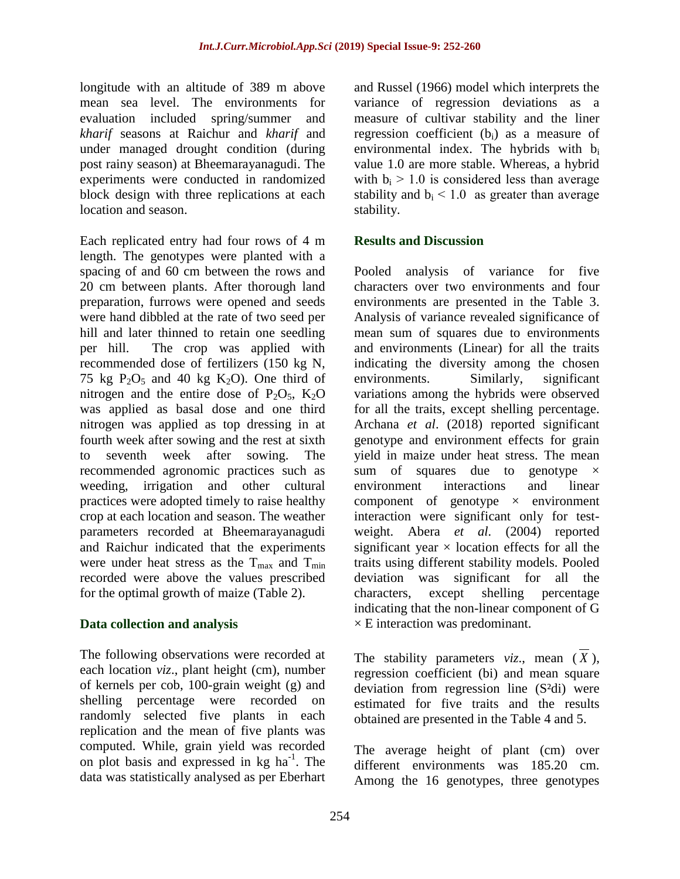longitude with an altitude of 389 m above mean sea level. The environments for evaluation included spring/summer and *kharif* seasons at Raichur and *kharif* and under managed drought condition (during post rainy season) at Bheemarayanagudi. The experiments were conducted in randomized block design with three replications at each location and season.

Each replicated entry had four rows of 4 m length. The genotypes were planted with a spacing of and 60 cm between the rows and 20 cm between plants. After thorough land preparation, furrows were opened and seeds were hand dibbled at the rate of two seed per hill and later thinned to retain one seedling per hill. The crop was applied with recommended dose of fertilizers (150 kg N, 75 kg  $P_2O_5$  and 40 kg  $K_2O$ ). One third of nitrogen and the entire dose of  $P_2O_5$ ,  $K_2O$ was applied as basal dose and one third nitrogen was applied as top dressing in at fourth week after sowing and the rest at sixth to seventh week after sowing. The recommended agronomic practices such as weeding, irrigation and other cultural practices were adopted timely to raise healthy crop at each location and season. The weather parameters recorded at Bheemarayanagudi and Raichur indicated that the experiments were under heat stress as the  $T_{\text{max}}$  and  $T_{\text{min}}$ recorded were above the values prescribed for the optimal growth of maize (Table 2).

#### **Data collection and analysis**

The following observations were recorded at each location *viz*., plant height (cm), number of kernels per cob, 100-grain weight (g) and shelling percentage were recorded on randomly selected five plants in each replication and the mean of five plants was computed. While, grain yield was recorded on plot basis and expressed in kg ha<sup>-1</sup>. The data was statistically analysed as per Eberhart

and Russel (1966) model which interprets the variance of regression deviations as a measure of cultivar stability and the liner regression coefficient (bi) as a measure of environmental index. The hybrids with b<sup>i</sup> value 1.0 are more stable. Whereas, a hybrid with  $b_i > 1.0$  is considered less than average stability and  $b_i < 1.0$  as greater than average stability.

#### **Results and Discussion**

Pooled analysis of variance for five characters over two environments and four environments are presented in the Table 3. Analysis of variance revealed significance of mean sum of squares due to environments and environments (Linear) for all the traits indicating the diversity among the chosen environments. Similarly, significant variations among the hybrids were observed for all the traits, except shelling percentage. Archana *et al*. (2018) reported significant genotype and environment effects for grain yield in maize under heat stress. The mean sum of squares due to genotype  $\times$ environment interactions and linear component of genotype  $\times$  environment interaction were significant only for testweight. Abera *et al.* (2004) reported significant year  $\times$  location effects for all the traits using different stability models. Pooled deviation was significant for all the characters, except shelling percentage indicating that the non-linear component of G  $\times$  E interaction was predominant.

The stability parameters  $viz.$ , mean  $(X)$ , regression coefficient (bi) and mean square deviation from regression line (S²di) were estimated for five traits and the results obtained are presented in the Table 4 and 5.

The average height of plant (cm) over different environments was 185.20 cm. Among the 16 genotypes, three genotypes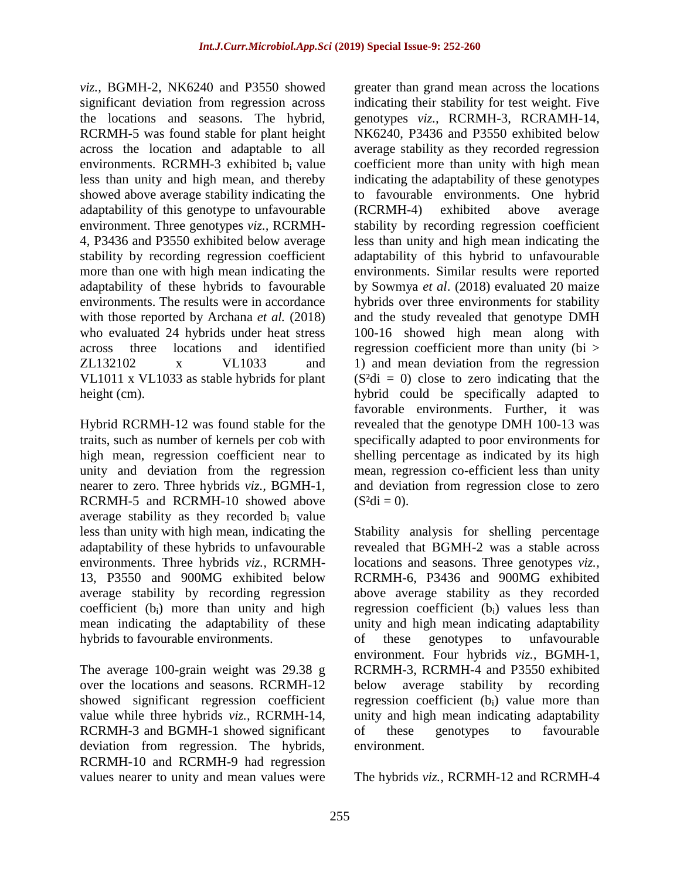*viz.,* BGMH-2, NK6240 and P3550 showed significant deviation from regression across the locations and seasons. The hybrid, RCRMH-5 was found stable for plant height across the location and adaptable to all environments. RCRMH-3 exhibited b<sub>i</sub> value less than unity and high mean, and thereby showed above average stability indicating the adaptability of this genotype to unfavourable environment. Three genotypes *viz.,* RCRMH-4, P3436 and P3550 exhibited below average stability by recording regression coefficient more than one with high mean indicating the adaptability of these hybrids to favourable environments. The results were in accordance with those reported by Archana *et al.* (2018) who evaluated 24 hybrids under heat stress across three locations and identified ZL132102 x VL1033 and VL1011 x VL1033 as stable hybrids for plant height (cm).

Hybrid RCRMH-12 was found stable for the traits, such as number of kernels per cob with high mean, regression coefficient near to unity and deviation from the regression nearer to zero. Three hybrids *viz.,* BGMH-1, RCRMH-5 and RCRMH-10 showed above average stability as they recorded  $b_i$  value less than unity with high mean, indicating the adaptability of these hybrids to unfavourable environments. Three hybrids *viz.,* RCRMH-13, P3550 and 900MG exhibited below average stability by recording regression coefficient (bi) more than unity and high mean indicating the adaptability of these hybrids to favourable environments.

The average 100-grain weight was 29.38 g over the locations and seasons. RCRMH-12 showed significant regression coefficient value while three hybrids *viz.,* RCRMH-14, RCRMH-3 and BGMH-1 showed significant deviation from regression. The hybrids, RCRMH-10 and RCRMH-9 had regression values nearer to unity and mean values were

greater than grand mean across the locations indicating their stability for test weight. Five genotypes *viz.,* RCRMH-3, RCRAMH-14, NK6240, P3436 and P3550 exhibited below average stability as they recorded regression coefficient more than unity with high mean indicating the adaptability of these genotypes to favourable environments. One hybrid (RCRMH-4) exhibited above average stability by recording regression coefficient less than unity and high mean indicating the adaptability of this hybrid to unfavourable environments. Similar results were reported by Sowmya *et al*. (2018) evaluated 20 maize hybrids over three environments for stability and the study revealed that genotype DMH 100-16 showed high mean along with regression coefficient more than unity (bi > 1) and mean deviation from the regression  $(S<sup>2</sup>di = 0)$  close to zero indicating that the hybrid could be specifically adapted to favorable environments. Further, it was revealed that the genotype DMH 100-13 was specifically adapted to poor environments for shelling percentage as indicated by its high mean, regression co-efficient less than unity and deviation from regression close to zero  $(S^2di = 0)$ .

Stability analysis for shelling percentage revealed that BGMH-2 was a stable across locations and seasons. Three genotypes *viz.,*  RCRMH-6, P3436 and 900MG exhibited above average stability as they recorded regression coefficient (bi) values less than unity and high mean indicating adaptability of these genotypes to unfavourable environment. Four hybrids *viz.,* BGMH-1, RCRMH-3, RCRMH-4 and P3550 exhibited below average stability by recording regression coefficient  $(b<sub>i</sub>)$  value more than unity and high mean indicating adaptability of these genotypes to favourable environment.

The hybrids *viz.,* RCRMH-12 and RCRMH-4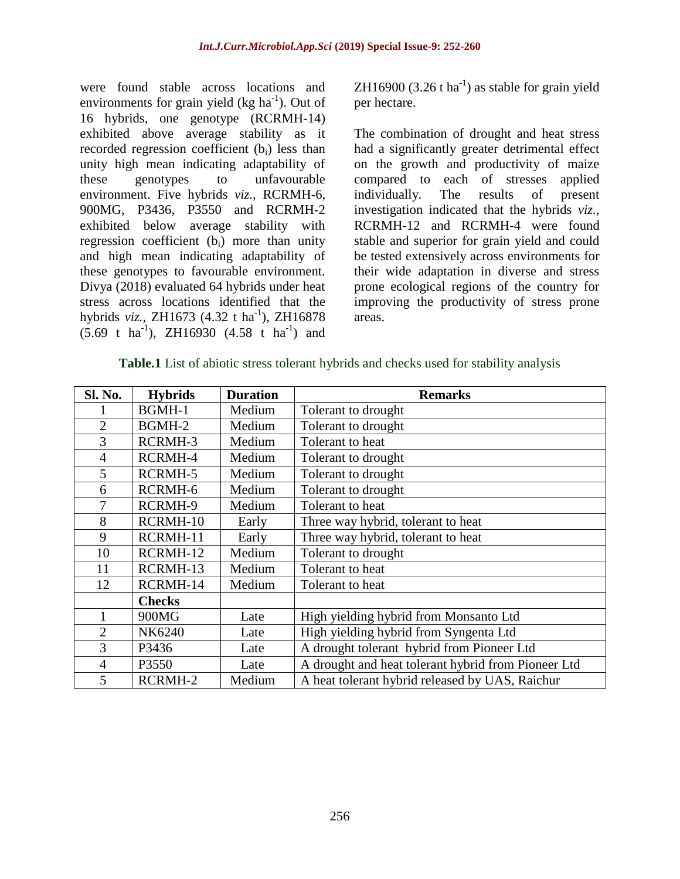were found stable across locations and environments for grain yield  $(kg ha<sup>-1</sup>)$ . Out of 16 hybrids, one genotype (RCRMH-14) exhibited above average stability as it recorded regression coefficient (b<sub>i</sub>) less than unity high mean indicating adaptability of these genotypes to unfavourable environment. Five hybrids *viz.,* RCRMH-6, 900MG, P3436, P3550 and RCRMH-2 exhibited below average stability with regression coefficient  $(b_i)$  more than unity and high mean indicating adaptability of these genotypes to favourable environment. Divya (2018) evaluated 64 hybrids under heat stress across locations identified that the hybrids *viz.*, ZH1673 (4.32 t ha<sup>-1</sup>), ZH16878  $(5.69 \text{ t} \text{ ha}^{-1})$ , ZH16930  $(4.58 \text{ t} \text{ ha}^{-1})$  and

ZH16900  $(3.26 \text{ tha}^{-1})$  as stable for grain yield per hectare.

The combination of drought and heat stress had a significantly greater detrimental effect on the growth and productivity of maize compared to each of stresses applied individually. The results of present investigation indicated that the hybrids *viz.,*  RCRMH-12 and RCRMH-4 were found stable and superior for grain yield and could be tested extensively across environments for their wide adaptation in diverse and stress prone ecological regions of the country for improving the productivity of stress prone areas.

| Sl. No.        | <b>Hybrids</b> | <b>Duration</b> | <b>Remarks</b>                                      |
|----------------|----------------|-----------------|-----------------------------------------------------|
|                | BGMH-1         | Medium          | Tolerant to drought                                 |
| $\overline{2}$ | BGMH-2         | Medium          | Tolerant to drought                                 |
| 3              | RCRMH-3        | Medium          | Tolerant to heat                                    |
| $\overline{4}$ | RCRMH-4        | Medium          | Tolerant to drought                                 |
| 5              | RCRMH-5        | Medium          | Tolerant to drought                                 |
| 6              | RCRMH-6        | Medium          | Tolerant to drought                                 |
| 7              | RCRMH-9        | Medium          | Tolerant to heat                                    |
| 8              | RCRMH-10       | Early           | Three way hybrid, tolerant to heat                  |
| 9              | RCRMH-11       | Early           | Three way hybrid, tolerant to heat                  |
| 10             | RCRMH-12       | Medium          | Tolerant to drought                                 |
| 11             | RCRMH-13       | Medium          | Tolerant to heat                                    |
| 12             | RCRMH-14       | Medium          | Tolerant to heat                                    |
|                | <b>Checks</b>  |                 |                                                     |
|                | 900MG          | Late            | High yielding hybrid from Monsanto Ltd              |
| $\overline{2}$ | NK6240         | Late            | High yielding hybrid from Syngenta Ltd              |
| 3              | P3436          | Late            | A drought tolerant hybrid from Pioneer Ltd          |
| $\overline{4}$ | P3550          | Late            | A drought and heat tolerant hybrid from Pioneer Ltd |
| 5              | RCRMH-2        | Medium          | A heat tolerant hybrid released by UAS, Raichur     |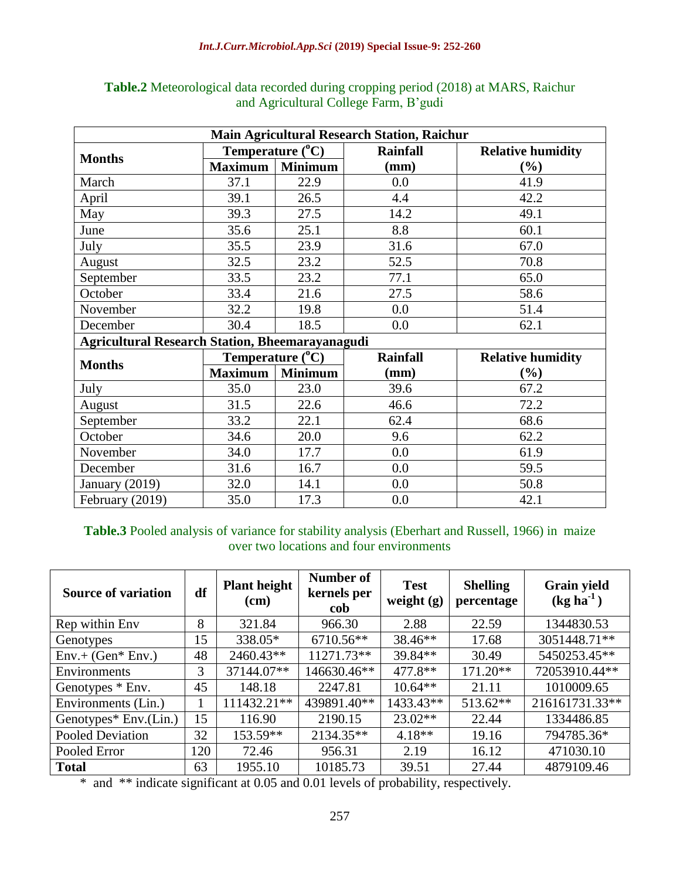| <b>Main Agricultural Research Station, Raichur</b>     |                           |                |                 |                          |  |  |  |  |  |
|--------------------------------------------------------|---------------------------|----------------|-----------------|--------------------------|--|--|--|--|--|
| <b>Months</b>                                          | Temperature $(^{0}C)$     |                | <b>Rainfall</b> | <b>Relative humidity</b> |  |  |  |  |  |
|                                                        | <b>Maximum</b>            | <b>Minimum</b> | (mm)            | $(\%)$                   |  |  |  |  |  |
| March                                                  | 37.1                      | 22.9           | 0.0             | 41.9                     |  |  |  |  |  |
| April                                                  | 39.1                      | 26.5           | 4.4             | 42.2                     |  |  |  |  |  |
| May                                                    | 39.3                      | 27.5           | 14.2            | 49.1                     |  |  |  |  |  |
| June                                                   | 35.6                      | 25.1           | 8.8             | 60.1                     |  |  |  |  |  |
| July                                                   | 35.5                      | 23.9           | 31.6            | 67.0                     |  |  |  |  |  |
| August                                                 | 32.5                      | 23.2           | 52.5            | 70.8                     |  |  |  |  |  |
| September                                              | 33.5                      | 23.2           | 77.1            | 65.0                     |  |  |  |  |  |
| October                                                | 33.4                      | 21.6           | 27.5            | 58.6                     |  |  |  |  |  |
| November                                               | 32.2                      | 19.8           | 0.0             | 51.4                     |  |  |  |  |  |
| December                                               | 30.4                      | 18.5           | 0.0             | 62.1                     |  |  |  |  |  |
| <b>Agricultural Research Station, Bheemarayanagudi</b> |                           |                |                 |                          |  |  |  |  |  |
| <b>Months</b>                                          | Temperature $(^{\circ}C)$ |                | <b>Rainfall</b> | <b>Relative humidity</b> |  |  |  |  |  |
|                                                        | <b>Maximum</b>            | <b>Minimum</b> | (mm)            | $(\%)$                   |  |  |  |  |  |
| July                                                   | 35.0                      | 23.0           | 39.6            | 67.2                     |  |  |  |  |  |
| August                                                 | 31.5                      | 22.6           | 46.6            | 72.2                     |  |  |  |  |  |
| September                                              | 33.2                      | 22.1           | 62.4            | 68.6                     |  |  |  |  |  |
| October                                                | 34.6                      | 20.0           | 9.6             | 62.2                     |  |  |  |  |  |
| November                                               | 34.0                      | 17.7           | 0.0             | 61.9                     |  |  |  |  |  |
| December                                               | 31.6                      | 16.7           | 0.0             | 59.5                     |  |  |  |  |  |
| January $(2019)$                                       | 32.0                      | 14.1           | 0.0             | 50.8                     |  |  |  |  |  |
| February (2019)                                        | 35.0                      | 17.3           | 0.0             | 42.1                     |  |  |  |  |  |

**Table.2** Meteorological data recorded during cropping period (2018) at MARS, Raichur and Agricultural College Farm, B'gudi

**Table.3** Pooled analysis of variance for stability analysis (Eberhart and Russell, 1966) in maize over two locations and four environments

| <b>Source of variation</b> | df  | <b>Plant height</b><br>(cm) | Number of<br>kernels per<br>cob | <b>Test</b><br>weight $(g)$ | <b>Shelling</b><br>percentage | <b>Grain yield</b><br>$(kg ha^{-1})$ |
|----------------------------|-----|-----------------------------|---------------------------------|-----------------------------|-------------------------------|--------------------------------------|
| Rep within Env             | 8   | 321.84                      | 966.30                          | 2.88                        | 22.59                         | 1344830.53                           |
| Genotypes                  | 15  | 338.05*                     | 6710.56**                       | 38.46**                     | 17.68                         | 3051448.71**                         |
| $Env.+(Gen*Env.)$          | 48  | 2460.43**                   | 11271.73**                      | 39.84**                     | 30.49                         | 5450253.45**                         |
| Environments               | 3   | 37144.07**                  | 146630.46**                     | 477.8**                     | $171.20**$                    | 72053910.44**                        |
| Genotypes * Env.           | 45  | 148.18                      | 2247.81                         | $10.64**$                   | 21.11                         | 1010009.65                           |
| Environments (Lin.)        |     | 111432.21**                 | 439891.40**                     | 1433.43**                   | 513.62**                      | 216161731.33**                       |
| Genotypes* Env.(Lin.)      | 15  | 116.90                      | 2190.15                         | $23.02**$                   | 22.44                         | 1334486.85                           |
| Pooled Deviation           | 32  | 153.59**                    | 2134.35**                       | $4.18**$                    | 19.16                         | 794785.36*                           |
| Pooled Error               | 120 | 72.46                       | 956.31                          | 2.19                        | 16.12                         | 471030.10                            |
| <b>Total</b>               | 63  | 1955.10                     | 10185.73                        | 39.51                       | 27.44                         | 4879109.46                           |

\* and \*\* indicate significant at 0.05 and 0.01 levels of probability, respectively.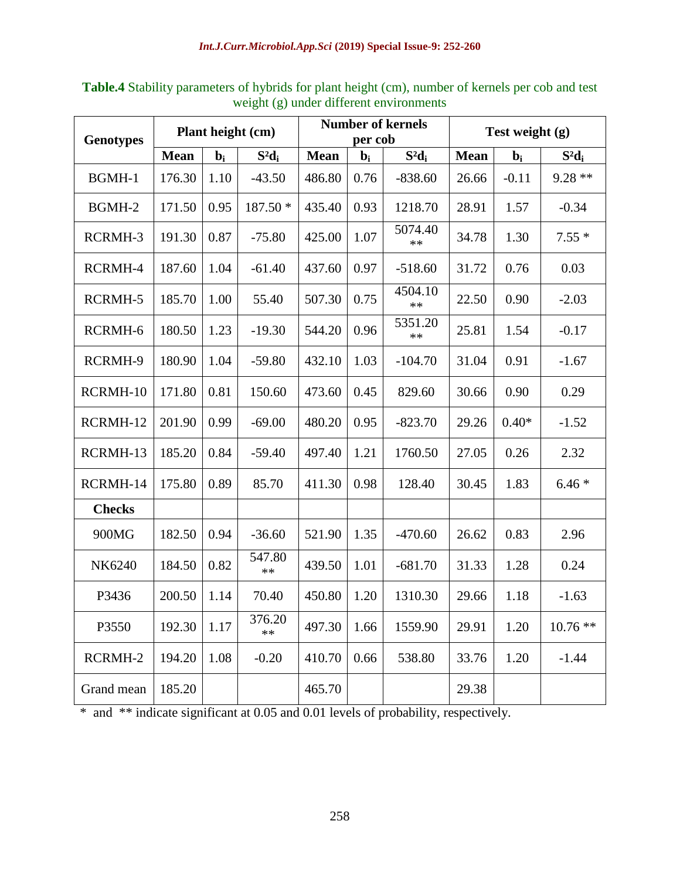| <b>Genotypes</b> | Plant height (cm) |                  |                 | <b>Number of kernels</b><br>per cob |                  |                 | Test weight $(g)$ |         |           |
|------------------|-------------------|------------------|-----------------|-------------------------------------|------------------|-----------------|-------------------|---------|-----------|
|                  | <b>Mean</b>       | $\mathbf{b}_{i}$ | $S^2d_i$        | <b>Mean</b>                         | $\mathbf{b}_{i}$ | $S^2d_i$        | <b>Mean</b>       | $bi$    | $S^2d_i$  |
| BGMH-1           | 176.30            | 1.10             | $-43.50$        | 486.80                              | 0.76             | $-838.60$       | 26.66             | $-0.11$ | $9.28**$  |
| BGMH-2           | 171.50            | 0.95             | 187.50 *        | 435.40                              | 0.93             | 1218.70         | 28.91             | 1.57    | $-0.34$   |
| RCRMH-3          | 191.30            | 0.87             | $-75.80$        | 425.00                              | 1.07             | 5074.40<br>**   | 34.78             | 1.30    | $7.55*$   |
| RCRMH-4          | 187.60            | 1.04             | $-61.40$        | 437.60                              | 0.97             | $-518.60$       | 31.72             | 0.76    | 0.03      |
| RCRMH-5          | 185.70            | 1.00             | 55.40           | 507.30                              | 0.75             | 4504.10<br>$**$ | 22.50             | 0.90    | $-2.03$   |
| RCRMH-6          | 180.50            | 1.23             | $-19.30$        | 544.20                              | 0.96             | 5351.20<br>$**$ | 25.81             | 1.54    | $-0.17$   |
| RCRMH-9          | 180.90            | 1.04             | $-59.80$        | 432.10                              | 1.03             | $-104.70$       | 31.04             | 0.91    | $-1.67$   |
| RCRMH-10         | 171.80            | 0.81             | 150.60          | 473.60                              | 0.45             | 829.60          | 30.66             | 0.90    | 0.29      |
| RCRMH-12         | 201.90            | 0.99             | $-69.00$        | 480.20                              | 0.95             | $-823.70$       | 29.26             | $0.40*$ | $-1.52$   |
| RCRMH-13         | 185.20            | 0.84             | $-59.40$        | 497.40                              | 1.21             | 1760.50         | 27.05             | 0.26    | 2.32      |
| RCRMH-14         | 175.80            | 0.89             | 85.70           | 411.30                              | 0.98             | 128.40          | 30.45             | 1.83    | $6.46*$   |
| <b>Checks</b>    |                   |                  |                 |                                     |                  |                 |                   |         |           |
| 900MG            | 182.50            | 0.94             | $-36.60$        | 521.90                              | 1.35             | $-470.60$       | 26.62             | 0.83    | 2.96      |
| <b>NK6240</b>    | 184.50            | 0.82             | 547.80<br>$***$ | 439.50                              | 1.01             | $-681.70$       | 31.33             | 1.28    | 0.24      |
| P3436            | 200.50            | 1.14             | 70.40           | 450.80                              | 1.20             | 1310.30         | 29.66             | 1.18    | $-1.63$   |
| P3550            | 192.30            | 1.17             | 376.20<br>$**$  | 497.30                              | 1.66             | 1559.90         | 29.91             | 1.20    | $10.76**$ |
| RCRMH-2          | 194.20            | 1.08             | $-0.20$         | 410.70                              | 0.66             | 538.80          | 33.76             | 1.20    | $-1.44$   |
| Grand mean       | 185.20            |                  |                 | 465.70                              |                  |                 | 29.38             |         |           |

**Table.4** Stability parameters of hybrids for plant height (cm), number of kernels per cob and test weight (g) under different environments

\* and \*\* indicate significant at 0.05 and 0.01 levels of probability, respectively.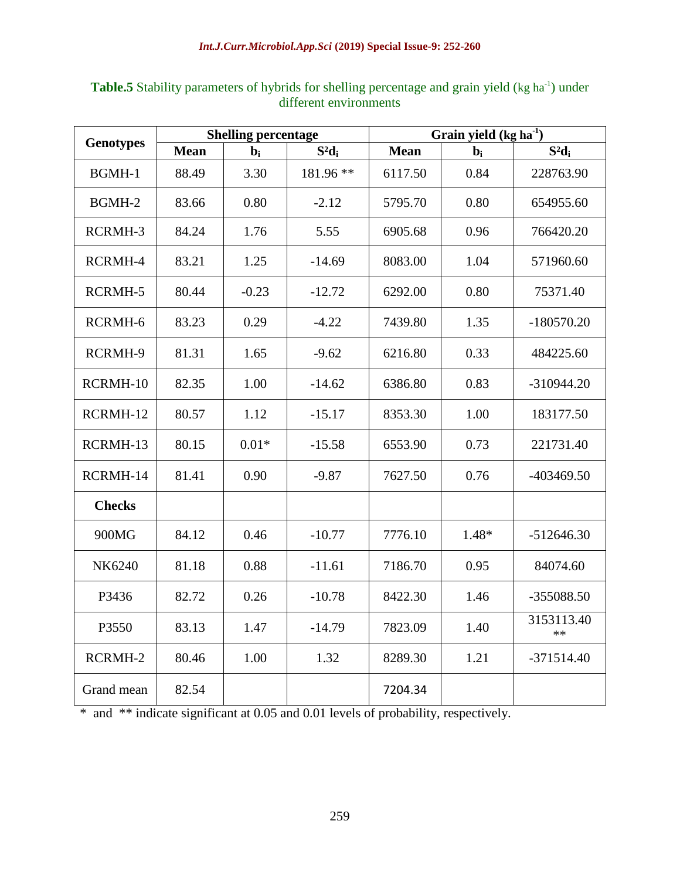|                  |             | <b>Shelling percentage</b> |           | Grain yield $(kg ha-1)$ |       |                    |  |
|------------------|-------------|----------------------------|-----------|-------------------------|-------|--------------------|--|
| <b>Genotypes</b> | <b>Mean</b> | $bi$                       | $S^2d_i$  | <b>Mean</b>             | $bi$  | $S^2d_i$           |  |
| BGMH-1           | 88.49       | 3.30                       | 181.96 ** | 6117.50                 | 0.84  | 228763.90          |  |
| BGMH-2           | 83.66       | 0.80                       | $-2.12$   | 5795.70                 | 0.80  | 654955.60          |  |
| RCRMH-3          | 84.24       | 1.76                       | 5.55      | 6905.68                 | 0.96  | 766420.20          |  |
| RCRMH-4          | 83.21       | 1.25                       | $-14.69$  | 8083.00                 | 1.04  | 571960.60          |  |
| RCRMH-5          | 80.44       | $-0.23$                    | $-12.72$  | 6292.00                 | 0.80  | 75371.40           |  |
| RCRMH-6          | 83.23       | 0.29                       | $-4.22$   | 7439.80                 | 1.35  | $-180570.20$       |  |
| RCRMH-9          | 81.31       | 1.65                       | $-9.62$   | 6216.80                 | 0.33  | 484225.60          |  |
| RCRMH-10         | 82.35       | 1.00                       | $-14.62$  | 6386.80                 | 0.83  | $-310944.20$       |  |
| RCRMH-12         | 80.57       | 1.12                       | $-15.17$  | 8353.30                 | 1.00  | 183177.50          |  |
| RCRMH-13         | 80.15       | $0.01*$                    | $-15.58$  | 6553.90                 | 0.73  | 221731.40          |  |
| RCRMH-14         | 81.41       | 0.90                       | $-9.87$   | 7627.50                 | 0.76  | $-403469.50$       |  |
| <b>Checks</b>    |             |                            |           |                         |       |                    |  |
| 900MG            | 84.12       | 0.46                       | $-10.77$  | 7776.10                 | 1.48* | $-512646.30$       |  |
| NK6240           | 81.18       | 0.88                       | $-11.61$  | 7186.70                 | 0.95  | 84074.60           |  |
| P3436            | 82.72       | 0.26                       | $-10.78$  | 8422.30                 | 1.46  | -355088.50         |  |
| P3550            | 83.13       | 1.47                       | $-14.79$  | 7823.09                 | 1.40  | 3153113.40<br>$**$ |  |
| RCRMH-2          | 80.46       | 1.00                       | 1.32      | 8289.30                 | 1.21  | $-371514.40$       |  |
| Grand mean       | 82.54       |                            |           | 7204.34                 |       |                    |  |

Table.5 Stability parameters of hybrids for shelling percentage and grain yield (kg ha<sup>-1</sup>) under different environments

\* and \*\* indicate significant at 0.05 and 0.01 levels of probability, respectively.